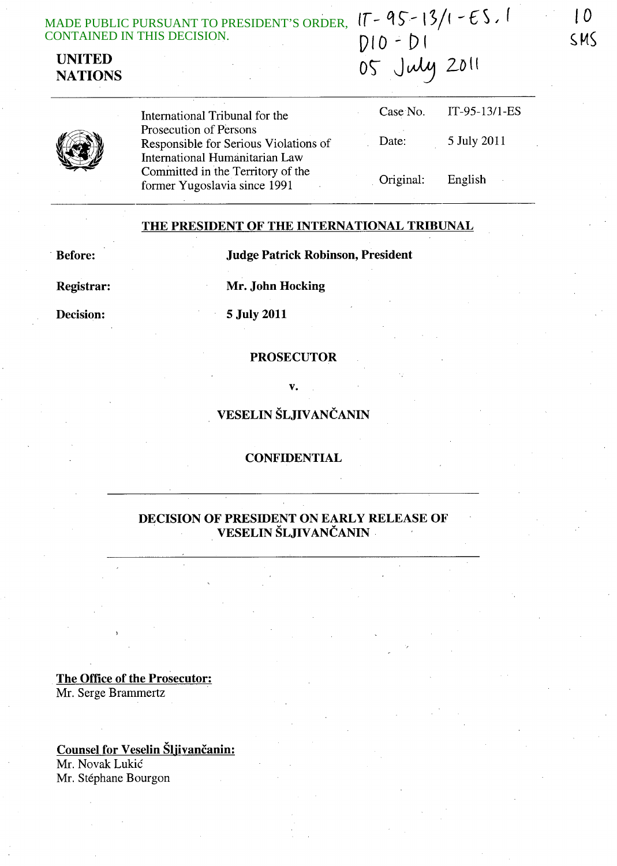| ADE PUBLIC PURSUANT TO PRESIDENT'S ORDER, $17 - 95 - 13/1 - 65$ , 1 |              |
|---------------------------------------------------------------------|--------------|
| DNTAINED IN THIS DECISION.                                          | $DIO - DI$   |
| UNITED<br><b>NATIONS</b>                                            | 05 July 2011 |
|                                                                     |              |

International Tribunal for the Prosecution of Persons Responsible for Serious Violations of International Humanitarian Law Committed in the Territory of the fonner Yugoslavia since 1991 Case No. Date: Original: IT-95-13/l-ES 5 July 2011 English

# THE PRESIDENT OF THE INTERNATIONAL TRIBUNAL

. Before: Judge Patrick Robinson, President

Registrar: Mr. John Hocking

Decision: 5 July 2011

### PROSECUTOR

v.

# VESELIN ŠLJIVANČANIN

### **CONFIDENTIAL**

# DECISION OF PRESIDENT ON EARLY RELEASE OF VESELIN ŠLJIVANČANIN

The Office of the Prosecutor: Mr. Serge Brammertz

Counsel for Veselin Šljivančanin:

Mr. Novak Lukic Mr. Stéphane Bourgon

*to*  s, MS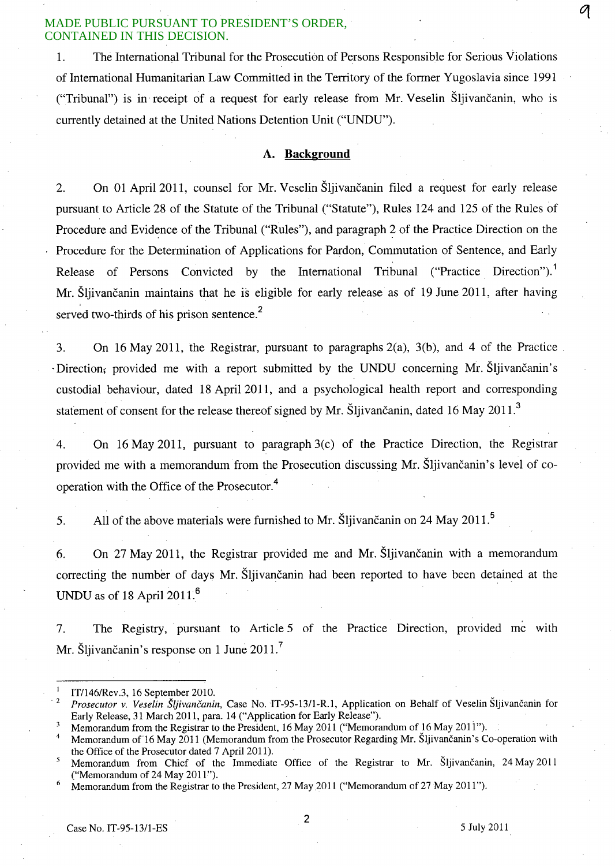1. The International Tribunal for the Prosecution of Persons Responsible for Serious Violations of International Humanitarian Law Committed in the Territory of the former Yugoslavia since 1991 ("Tribunal") is in receipt of a request for early release from Mr. Veselin Sljivancanin, who is currently detained at the United Nations Detention Unit ("UNDU").

## **A. Background**

2. On 01 April 2011, counsel for Mr. Veselin Šliivančanin filed a request for early release pursuant to Article 28 of the Statute of the Tribunal ("Statute"), Rules 124 and 125 of the Rules of Procedure and Evidence of the Tribunal ("Rules"), and paragraph 2 of the Practice Direction on the Procedure for the Determination of Applications for Pardon, Commutation of Sentence, and Early Release of Persons Convicted by the International Tribunal ("Practice Direction").<sup>1</sup> Mr. Šliivančanin maintains that he is eligible for early release as of 19 June 2011, after having served two-thirds of his prison sentence. $2$ 

3. On 16 May 2011, the Registrar, pursuant to paragraphs 2(a), 3(b), and 4 of the Practice .  $\cdot$ Direction<sub>i</sub>, provided me with a report submitted by the UNDU concerning Mr. Sljivančanin's custodial behaviour, dated 18 April 2011, and a psychological health report and corresponding statement of consent for the release thereof signed by Mr. Sljivančanin, dated 16 May 2011.<sup>3</sup>

4. On 16 May 2011, pursuant to paragraph 3(c) of the Practice Direction, the Registrar provided me with a memorandum from the Prosecution discussing Mr. Sljivancanin's level of cooperation with the Office of the Prosecutor.<sup>4</sup>

5. All of the above materials were furnished to Mr. Sljivančanin on 24 May 2011.<sup>5</sup>

6. On 27 May 2011, the Registrar provided me and Mr. Sljivančanin with a memorandum correcting the number of days Mr. Sljivančanin had been reported to have been detained at the UNDU as of 18 April  $2011<sup>6</sup>$ 

7. The Registry, pursuant to Article 5 of the Practice Direction, provided me with Mr. Šljivančanin's response on 1 June  $2011$ .

Case No. IT-95-13/l-ES 5 July 2011

2

 $\it q$ 

<sup>&</sup>lt;sup>1</sup> IT/146/Rev.3, 16 September 2010.

<sup>. 2</sup> *Prosecutor* v. *Veselin Sljivancanin,* Case No. IT-95-13/l-R.1, Application on Behalf of Veselin Sljivancanin for Early Release, 31 March 2011, para. 14 ("Application for Early Release").

<sup>&</sup>lt;sup>3</sup> Memorandum from the Registrar to the President, 16 May 2011 ("Memorandum of 16 May 2011").

Memorandum of 16 May 2011 (Memorandum from the Prosecutor Regarding Mr. Šljivančanin's Co-operation with the Office of the Prosecutor dated 7 April 2011).

Memorandum from Chief of the Immediate Office of the Registrar to Mr. Šljivančanin, 24 May 2011 ("Memorandum of 24 May 2011").

Memorandum from the Registrar to the President, 27 May 2011 ("Memorandum of 27 May 2011").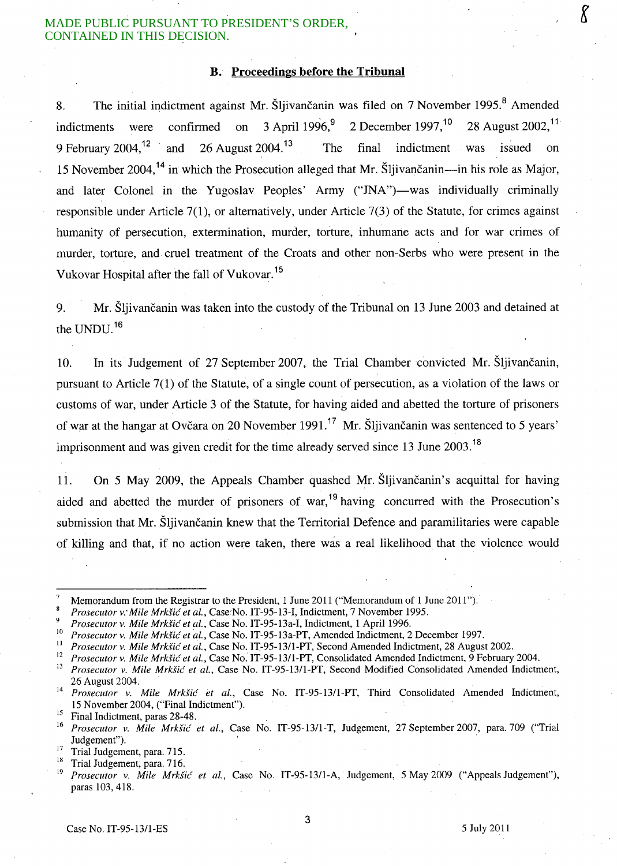### B. Proceedings before the **Tribunal**

8. The initial indictment against Mr. Šljivančanin was filed on 7 November 1995.<sup>8</sup> Amended indictments were confirmed on 3 April 1996,<sup>9</sup> 2 December 1997,<sup>10</sup> 28 August 2002,<sup>11</sup> 9 February 2004.<sup>12</sup> and 26 August 2004.<sup>13</sup> The final indictment was issued on 15 November 2004,<sup>14</sup> in which the Prosecution alleged that Mr. Sliivančanin—in his role as Major, and later Colonel in the Yugoslav Peoples' Army ("JNA")—was individually criminally responsible under Article 7(1), or alternatively, under Article 7(3) of the Statute, for crimes against humanity of persecution, extermination, murder, torture, inhumane acts and for war crimes of murder, torture, and cruel treatment of the Croats and other non-Serbs who were present in the Vukovar Hospital after the fall of Vukovar.<sup>15</sup>

9. Mr. Šljivančanin was taken into the custody of the Tribunal on 13 June 2003 and detained at the UNDU. <sup>16</sup>

10. In its Judgement of 27 September 2007, the Trial Chamber convicted Mr. Sljivancanin, pursuant to Article 7(1) of the Statute, of a single count of persecution, as a violation of the laws or customs of war, under Article 3 of the Statute, for having aided and abetted the torture of prisoners of war at the hangar at Ovčara on 20 November 1991.<sup>17</sup> Mr. Šliivančanin was sentenced to 5 years' imprisonment and was given credit for the time already served since 13 June  $2003$ .<sup>18</sup>

1l. On 5 May 2009, the Appeals Chamber quashed Mr. Sljivancanin's acquittal for having aided and abetted the murder of prisoners of war,<sup>19</sup> having concurred with the Prosecution's submission that Mr. Šljivančanin knew that the Territorial Defence and paramilitaries were capable of killing and that, if no action were taken, there was a real likelihood that the violence would

3

Memorandum from the Registrar to the President, 1 June 2011 ("Memorandum of 1 June 2011").

*Prosecutor v: Mile Mrkfic et al.,* Case:No. IT-95-13-I, Indictment, 7 November 1995.

<sup>&</sup>lt;sup>9</sup> *Prosecutor v. Mile Mrkšić et al.*, Case No. IT-95-13a-I, Indictment, 1 April 1996.

<sup>10</sup>*Prosecutor v. Mile Mrkfic et al.,* Case No. IT-95-13a-PT, Amended Indictment, 2 December 1997.

II *Prosecutor v. Mile Mrkfic et al.,* Case No. IT-95-13/1-PT, Second Amended Indictment, 28 August 2002.

<sup>&</sup>lt;sup>12</sup> Prosecutor v. Mile Mrkšić et al., Case No. IT-95-13/1-PT, Consolidated Amended Indictment, 9 February 2004.

<sup>13</sup>*Prosecutor v. Mile Mrkfic et aI.,* Case No. IT-95-13/l-PT, Second Modified Consolidated Amended Indictment, 26 August 2004. .

<sup>14</sup>*Prosecutor v. Mile Mrkfic et al.,* Case No. IT-95-13/1-PT, Third Consolidated Amended Indictment, 15 November 2004, ("Final Indictment").

<sup>&</sup>lt;sup>15</sup> Final Indictment, paras 28-48.

<sup>16</sup>*Prosecutor v. Mile Mrkfic et aI.,* Case No. IT-95-13/1-T, Judgement, 27 September 2007, para. 709 ("Trial Judgement").

 $\frac{17}{18}$  Trial Judgement, para. 715.

<sup>&</sup>lt;sup>18</sup> Trial Judgement, para. 716.

<sup>19</sup>*Prosecutor v. Mile Mrkfic et aI.,* Case No. IT-95-13/l-A, Judgement, 5 May 2009 ("Appeals Judgement"), paras 103,418.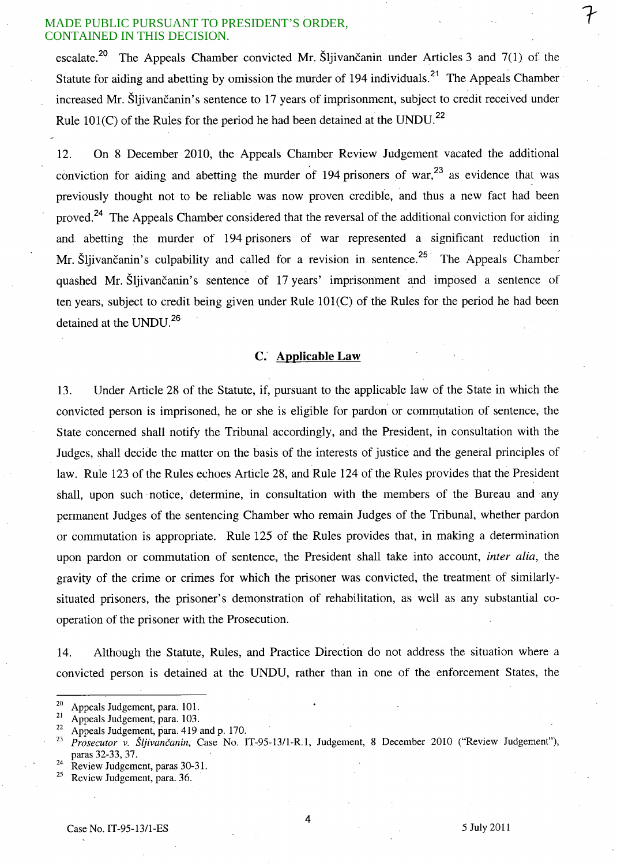escalate.<sup>20</sup> The Appeals Chamber convicted Mr. Sljivancanin under Articles 3 and  $7(1)$  of the Statute for aiding and abetting by omission the murder of 194 individuals.<sup>21</sup> The Appeals Chamber increased Mr. Šliivančanin's sentence to 17 years of imprisonment, subject to credit received under Rule 101(C) of the Rules for the period he had been detained at the UNDU.<sup>22</sup>

12. On 8 December 2010, the Appeals Chamber Review Judgement vacated the additional conviction for aiding and abetting the murder of 194 prisoners of war,<sup>23</sup> as evidence that was previously thought not to be reliable was now proven credible, and thus a new fact had been proved.<sup>24</sup> The Appeals Chamber considered that the reversal of the additional conviction for aiding and abetting the murder of 194 prisoners of war represented a significant reduction in Mr. Šljivančanin's culpability and called for a revision in sentence.<sup>25</sup> The Appeals Chamber quashed Mr. Šljivančanin's sentence of 17 years' imprisonment and imposed a sentence of ten years, subject to credit being given under Rule 101(C) of the Rules for the period he had been detained at the UNDU.<sup>26</sup>

## **c. Applicable Law**

13. Under Article 28 of the Statute, if, pursuant to the applicable law of the State in which the convicted person is imprisoned, he or she is eligible for pardon or commutation of sentence, the State concerned shall notify the Tribunal accordingly, and the President, in consultation with the Judges, shall decide the matter on the basis of the interests of justice and the general principles of law. Rule 123 of the Rules echoes Article 28, and Rule 124 of the Rules provides that the President shall, upon such notice, determine, in consultation with the members of the Bureau and any permanent Judges of the sentencing Chamber who remain Judges of the Tribunal, whether pardon or commutation is appropriate. Rule 125 of the Rules provides that, in making a determination upon pardon or commutation of sentence, the President shall take into account, *inter alia,* the gravity of the crime or crimes for which the prisoner was convicted, the treatment of similarlysituated prisoners, the prisoner's demonstration of rehabilitation, as well as any substantial cooperation of the prisoner with the Prosecution.

14. Although the Statute, Rules, and Practice Direction do not address the situation where a convicted person is detained at the UNDU, rather than in one of the enforcement States, the

 $\frac{24}{25}$  Review Judgement, paras 30-31.

4

 $^{20}$  Appeals Judgement, para. 101.

 $\frac{21}{22}$  Appeals Judgement, para. 103.

<sup>&</sup>lt;sup>22</sup> Appeals Judgement, para. 419 and p. 170.<br><sup>23</sup> Preservitor u. Šlijvenčenin, Case, No. 1

<sup>23</sup>*Prosecutor v. Sljivancanin,* Case No. IT-95-13/1-R.1, Judgement, 8 December 2010 ("Review Judgement"), paras 32-33,37.

Review Judgement, para. 36.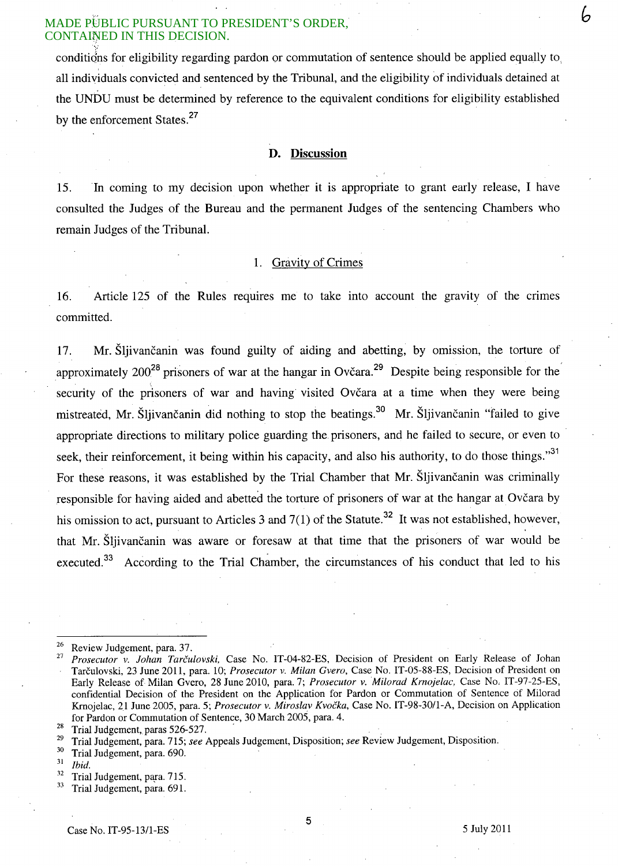conditions for eligibility regarding pardon or commutation of sentence should be applied equally to all individuals convicted and sentenced by the Tribunal, and the eligibility of individuals detained at the UNDU must be determined by reference to the equivalent conditions for eligibility established by the enforcement States.<sup>27</sup>

#### **D. Discussion**

15. In coming to my decision upon whether it is appropriate to grant early release, I have consulted the Judges of the Bureau and the permanent Judges of the sentencing Chambers who remain Judges of the Tribunal.

## 1. Gravity of Crimes

16. Article 125 of the Rules requires me to take into account the gravity of the crimes committed.

17. Mr. Šljivančanin was found guilty of aiding and abetting, by omission, the torture of approximately 200<sup>28</sup> prisoners of war at the hangar in Ovčara.<sup>29</sup> Despite being responsible for the security of the prisoners of war and having visited Ovčara at a time when they were being mistreated, Mr. Šljivančanin did nothing to stop the beatings.<sup>30</sup> Mr. Šljivančanin "failed to give appropriate directions to military police guarding the prisoners, and he failed to secure, or even to seek, their reinforcement, it being within his capacity, and also his authority, to do those things."<sup>31</sup> For these reasons, it was established by the Trial Chamber that Mr. Sliivancanin was criminally responsible for having aided and abetted the torture of prisoners of war at the hangar at Ovčara by his omission to act, pursuant to Articles 3 and  $7(1)$  of the Statute.<sup>32</sup> It was not established, however, that Mr. Sljivancanin was aware or foresaw at that time that the prisoners of war would be executed.<sup>33</sup> According to the Trial Chamber, the circumstances of his conduct that led to his

- $rac{32}{33}$  Trial Judgement, para. 715.<br>Trial Judgement, para. 691.
- 

5

h

 $\frac{26}{27}$  Review Judgement, para. 37.

Prosecutor v. Johan Tarčulovski, Case No. IT-04-82-ES, Decision of President on Early Release of Johan Tarculovski, 23 June 2011, para. 10; *Prosecutor* v. *Milan Gvero,* Case No. IT-05-88-ES, Decision of President on Early Release of Milan Gvero, 28 June 2010, para. 7; *Prosecutor* v. *Milorad Krnojelac,* Case No. IT-97-25-ES, confidential Decision of the President on the Application for Pardon or Commutation of Sentence cif Milorad Krnojelac, 21 June 2005, para. 5; *Prosecutor* v. *Miroslav Kvocka,* Case No. IT-98-30/l-A, Decision on Application for Pardon or Commutation of Sentence, 30 March 2005, para. 4.

 $\frac{28}{29}$  Trial Judgement, paras 526-527.

<sup>&</sup>lt;sup>29</sup> Trial Judgement, para. 715; *see* Appeals Judgement, Disposition; *see* Review Judgement, Disposition.

 $\frac{30}{31}$  Trial Judgement, para. 690.

<sup>31</sup>*Ibid.*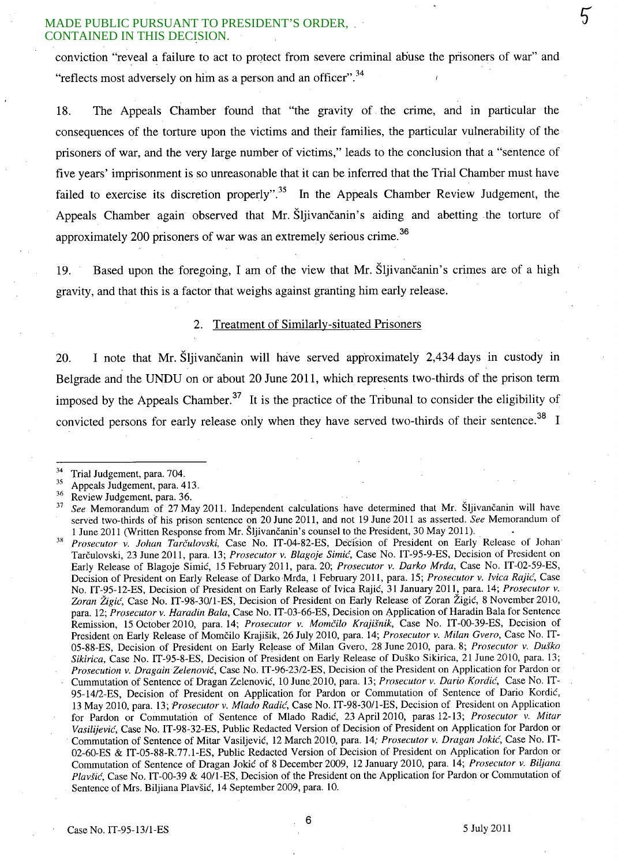conviction "reveal a failure to act to protect from severe criminal abuse the prisoners of war" and "reflects most adversely on him as a person and an officer".<sup>34</sup>

18. The Appeals Chamber found that "the gravity of the crime, and in particular the consequences of the torture upon the victims and their families, the particular vulnerability of the prisoners of war, and the very large number of victims," leads to the conclusion that a "sentence of five years' imprisonment is so unreasonable that it can be inferred that the Trial Chamber must have failed to exercise its discretion properly".<sup>35</sup> In the Appeals Chamber Review Judgement, the Appeals Chamber again observed that Mr. Sljivančanin's aiding and abetting the torture of approximately 200 prisoners of war was an extremely serious crime.<sup>36</sup>

19. Based upon the foregoing, I am of the view that Mr. Sljivancanin's crimes are of a high gravity, and that this is a factor that weighs against granting him early release.

## 2. Treatment of Similarly-situated Prisoners

20. I note that Mr. Šljivančanin will have served approximately 2,434 days in custody in Belgrade and the UNDU on or about 20 June 2011, which represents two-thirds of the prison term imposed by the Appeals Chamber.<sup>37</sup> It is the practice of the Tribunal to consider the eligibility of convicted persons for early release only when they have served two-thirds of their sentence.<sup>38</sup> I

 $\frac{34}{35}$  Trial Judgement, para. 704.

 $\frac{35}{36}$  Appeals Judgement, para. 413.

 $rac{36}{37}$  Review Judgement, para. 36.<br> $rac{36}{37}$  See Memorandum of 27 Ma

See Memorandum of 27 May 2011. Independent calculations have determined that Mr. Sljivančanin will have served two-thirds of his prison sentence on 20 June 2011, and not 19 June 2011 as asserted. *See* Memorandum of 1 June 2011 (Written Response from Mr. Sljivancanin's counsel to the President, 30 May 2011).

<sup>&</sup>lt;sup>38</sup> Prosecutor v. *Johan Tarčulovski*, Case No. IT-04-82-ES, Decision of President on Early Release of Johan Tarculovski, 23 June 2011, para. l3; *Prosecutor* v. *Blagoje Simic,* Case No. IT-95-9-ES, Decision of President on Early Release of Blagoje Simic, 15 February 2011, para. 20; *Prosecutor* v. *Darko Mrda,* Case No. IT-02-59-ES, Decision of President on Early Release of Darko Mrda, 1 February 2011, para. 15; *Prosecutor* v. *Ivica Rajic',* Case No. IT-95-12-ES, Decision of President on Early Release of Ivica Rajic, 31 January 2011, para. 14; *Prosecutor* v. Zoran Žigić, Case No. IT-98-30/1-ES, Decision of President on Early Release of Zoran Žigić, 8 November 2010, para. 12; *Prosecutor* v. *Haradin Bala,* Case No. IT-03-66-ES, Decision on Application of Haradin Bala for Sentence Remission, 15 October 2010, para. 14; *Prosecutor v. Momčilo Krajišnik*, Case No. IT-00-39-ES, Decision of President on Early Release of Momcilo KrajiSik, 26 July 2010, para. 14; *Prosecutor* v. *Milan Gvero,* Case No. IT-05-88-ES, Decision of President on Early Release of Milan Gvero, 28 June 2010, para. 8; *Prosecutor* v. *Du§ko Sikirica,* Case No. IT-95-8-ES, Decision of President on Early Release of Dusko Sikirica, 21 June 2010, para. 13; *Prosecution* v. *DragainZelenovic,* Case No. IT-96-2312-ES, Decision of the President on Application for Pardon or Cummutation of Sentence of Dragan Zelenovic, 10 June,201O, para. 13; *Prosecutor* v. *Dario Kordic,* Case No. IT-95-14/2-ES, Decision of President on Application for Pardon or Commutation of Sentence of Dario Kordic, l3 May 2010, para. 13; *'Prosecutor* v. *Mlado Radi<f,* Case No. IT-98-30/l-ES, Decision of President on Application for Pardon or Commutation of Sentence of Mlado Radic, 23 Apri1201O, paras 12-13; *Prosecutor* v. *Mitar Vasilijevic,* Case No. IT-98-32-ES, Public Redacted Version of Decision of President on Application for Pardon or Commutation of Sentence of Mitar Vasiljevic, 12 March 2010, para. 14; *Prosecutor* v. *Dragan lokic,* Case No. IT-02-60-ES & IT-05-88-R.77.1-ES, Public Redacted Version of Decision of President on Application for Pardon or Commutation of Sentence of Dragan Jokić of 8 December 2009, 12 January 2010, para. 14; *Prosecutor v. Biljana Plavsic,* Case No. IT-00-39 & 40/1-ES, Decision of the President on the Application for Pardon or Commutation of Sentence of Mrs. Bi1jiana Plavsic, 14 September 2009, para. 10.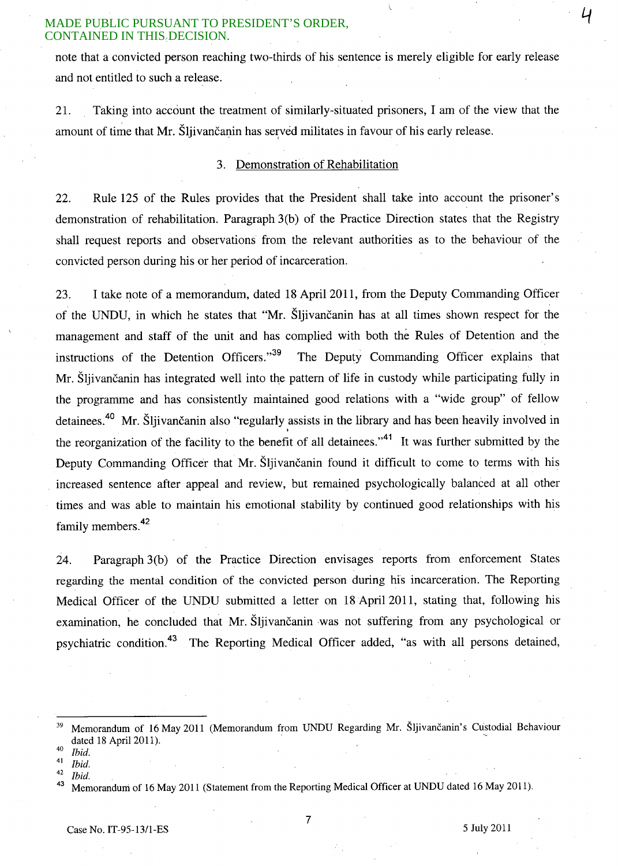note that a convicted person reaching two-thirds of his sentence is merely eligible for early release and not entitled to such a release.

21. Taking into account the treatment of similarly-situated prisoners, I am of the view that the amount of time that Mr. Šljivančanin has served militates in favour of his early release.

## 3. Demonstration of Rehabilitation

22. Rule 125 of the Rules provides that the President shall take into account the prisoner's demonstration of rehabilitation. Paragraph 3(b) of the Practice Direction states that the Registry shall request reports and observations from the relevant authorities as to the behaviour of the convicted person during his or her period of incarceration.

23. I take note of a memorandum, dated 18 April 2011, from the Deputy Commanding Officer of the UNDU, in which he states that "Mr. Sljivancanin has at all times shown respect for the management and staff of the unit and has complied with both the Rules of Detention and the instructions of the Detention Officers."<sup>39</sup> The Deputy Commanding Officer explains that Mr. Sljivančanin has integrated well into the pattern of life in custody while participating fully in the programme and has consistently maintained good relations with a "wide group" of fellow detainees.<sup>40</sup> Mr. Šljivančanin also "regularly assists in the library and has been heavily involved in I the reorganization of the facility to the benefit of all detainees."<sup>41</sup> It was further submitted by the Deputy Commanding Officer that Mr. Šljivančanin found it difficult to come to terms with his increased sentence after appeal and review, but remained psychologically balanced at all other times and was able to maintain his emotional stability by continued good relationships with his family members.<sup>42</sup>

24. Paragraph 3(b) of the Practice Direction envisages reports from enforcement States regarding the mental condition of the convicted person during his incarceration. The Reporting Medical Officer of the UNDU submitted a letter on 18 April 2011, stating that, following his examination, he concluded that Mr. Sljivančanin was not suffering from any psychological or psychiatric condition.43 The Reporting Medical Officer added, "as with all persons detained,

<sup>43</sup> Memorandum of 16 May 2011 (Statement from the Reporting Medical Officer at UNDU dated 16 May 2011).

7

4

<sup>&</sup>lt;sup>39</sup> Memorandum of 16 May 2011 (Memorandum from UNDU Regarding Mr. Šljivančanin's Custodial Behaviour dated 18 April 2011).

*<sup>40</sup> Ibid.* 

<sup>41</sup>*Ibid.* 

*<sup>42</sup> Ibid.*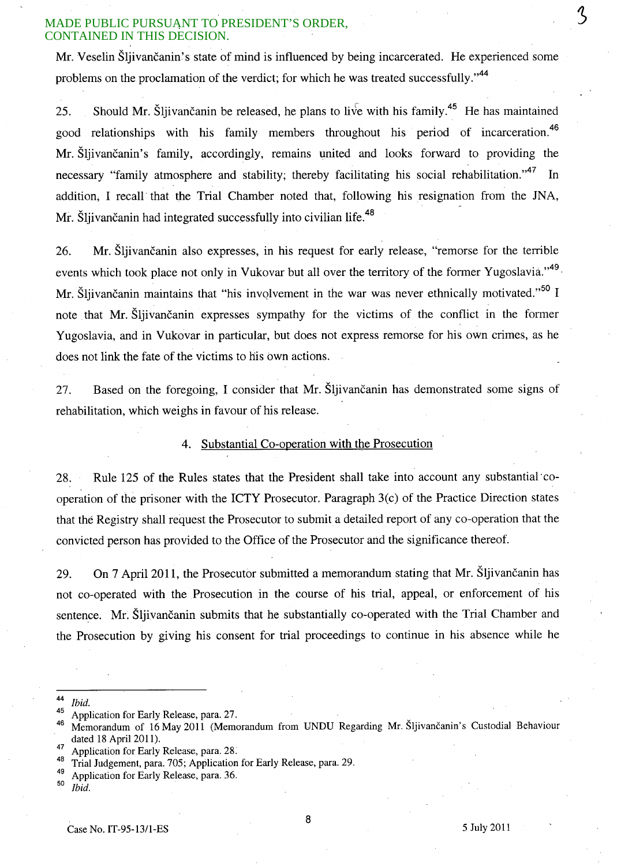Mr. Veselin Šliivančanin's state of mind is influenced by being incarcerated. He experienced some problems on the proclamation of the verdict; for which he was treated successfully."<sup>44</sup>

25. Should Mr. Šliivančanin be released, he plans to live with his family.<sup>45</sup> He has maintained good relationships with his family members throughout his period of incarceration.<sup>46</sup> Mr. Sljivancanin's family, accordingly, remains united and looks forward to providing the necessary "family atmosphere and stability; thereby facilitating his social rehabilitation."<sup>47</sup> In addition; I recall· that the Trial Chamber noted that, following his resignation from the JNA, Mr. Šliivančanin had integrated successfully into civilian life.<sup>48</sup>

26. Mr. Sljivancanin also expresses, in his request for early release, "remorse for the terrible events which took place not only in Vukovar but all over the territory of the former Yugoslavia."<sup>49</sup>. Mr. Šljivančanin maintains that "his involvement in the war was never ethnically motivated."<sup>50</sup> I note that Mr. Sliivancanin expresses sympathy for the victims of the conflict in the former Yugoslavia, and in Vukovar in particular, but does not express remorse for his own crimes, as he does not link the fate of the victims to his own actions.

27. Based on the foregoing, I consider that Mr. Šljivančanin has demonstrated some signs of rehabilitation, which weighs in favour of his release.

## 4. Substantial Co-operation with the Prosecution

28. Rule 125 of the Rules states that the President shall take into account any substantial'cooperation of the prisoner with the ICTY Prosecutor. Paragraph 3(c) of the Practice Direction states that the Registry shall request the Prosecutor to submit a detailed report of any co-operation that the convicted person has provided to the Office of the Prosecutor and the significance thereof.

29. On 7 April 2011, the Prosecutor submitted a memorandum stating that Mr. Šljivančanin has not co-operated with the Prosecution in the course of his trial, appeal, or enforcement of his sentence. Mr. Šljivančanin submits that he substantially co-operated with the Trial Chamber and the Prosecution by giving his consent for trial proceedings to continue in his absence while he

<sup>44</sup>*Ibid.* 

 $^{45}$  Application for Early Release, para. 27.

Memorandum of 16 May 2011 (Memorandum from UNDU Regarding Mr. Šljivančanin's Custodial Behaviour dated 18 April 2011).

 $^{47}$  Application for Early Release, para. 28.

<sup>&</sup>lt;sup>48</sup> Trial Judgement, para. 705; Application for Early Release, para. 29.

 $^{49}$  Application for Early Release, para. 36.

*<sup>50</sup> Ibid.*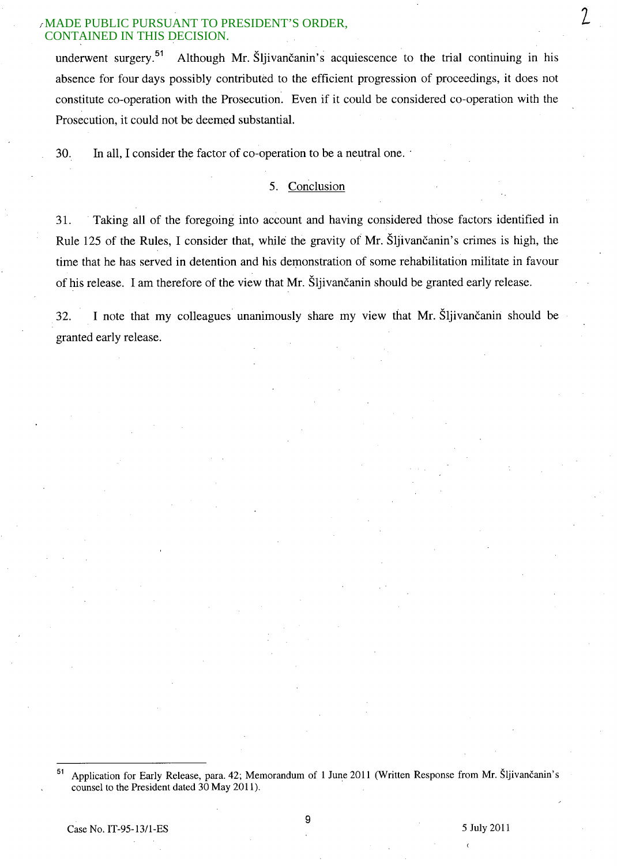underwent surgery.<sup>51</sup> Although Mr. Šliivančanin's acquiescence to the trial continuing in his absence for four days possibly contributed to the efficient progression of proceedings, it does not constitute co-operation with the Prosecution. Even if it could be considered co-operation with the Prosecution, it could not be deemed substantial.

30. In all, I consider the factor of co-operation to be a neutral one.

# 5. Conclusion

31. . Taking all of the foregoing into account and having considered those factors identified in Rule 125 of the Rules, I consider that, while the gravity of Mr. Sljivancanin's crimes is high, the time that he has served in detention and his demonstration of some rehabilitation militate in favour of his release. I am therefore of the view that Mr. Sljivancanin should be granted early release.

32. I note that my colleagues unanimously share my view that Mr. Sljivančanin should be granted early release.

<sup>51</sup> Application for Early Release, para. 42; Memorandum of 1 June 2011 (Written Response from Mr. Sljivancanin's counsel to the President dated 30 May 2011).